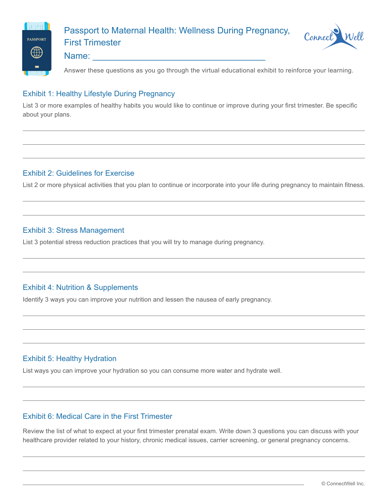

# Passport to Maternal Health: Wellness During Pregnancy, First Trimester



# Name:

Answer these questions as you go through the virtual educational exhibit to reinforce your learning.

#### Exhibit 1: Healthy Lifestyle During Pregnancy

List 3 or more examples of healthy habits you would like to continue or improve during your first trimester. Be specific about your plans.

## Exhibit 2: Guidelines for Exercise

List 2 or more physical activities that you plan to continue or incorporate into your life during pregnancy to maintain fitness.

## Exhibit 3: Stress Management

List 3 potential stress reduction practices that you will try to manage during pregnancy.

# Exhibit 4: Nutrition & Supplements

Identify 3 ways you can improve your nutrition and lessen the nausea of early pregnancy.

# Exhibit 5: Healthy Hydration

List ways you can improve your hydration so you can consume more water and hydrate well.

#### Exhibit 6: Medical Care in the First Trimester

Review the list of what to expect at your first trimester prenatal exam. Write down 3 questions you can discuss with your healthcare provider related to your history, chronic medical issues, carrier screening, or general pregnancy concerns.